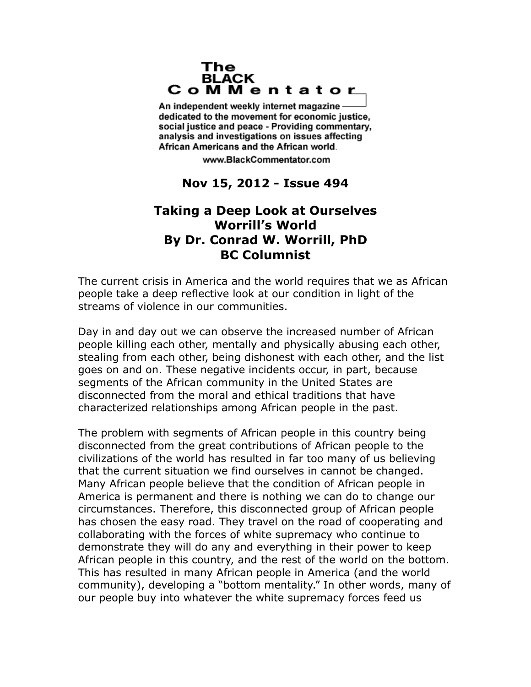## The **BLACK** CoMMentator

An independent weekly internet magazine dedicated to the movement for economic justice. social justice and peace - Providing commentary, analysis and investigations on issues affecting African Americans and the African world.

www.BlackCommentator.com

## **Nov 15, 2012 - Issue 494**

## **Taking a Deep Look at Ourselves Worrill's World By Dr. Conrad W. Worrill, PhD BC Columnist**

The current crisis in America and the world requires that we as African people take a deep reflective look at our condition in light of the streams of violence in our communities.

Day in and day out we can observe the increased number of African people killing each other, mentally and physically abusing each other, stealing from each other, being dishonest with each other, and the list goes on and on. These negative incidents occur, in part, because segments of the African community in the United States are disconnected from the moral and ethical traditions that have characterized relationships among African people in the past.

The problem with segments of African people in this country being disconnected from the great contributions of African people to the civilizations of the world has resulted in far too many of us believing that the current situation we find ourselves in cannot be changed. Many African people believe that the condition of African people in America is permanent and there is nothing we can do to change our circumstances. Therefore, this disconnected group of African people has chosen the easy road. They travel on the road of cooperating and collaborating with the forces of white supremacy who continue to demonstrate they will do any and everything in their power to keep African people in this country, and the rest of the world on the bottom. This has resulted in many African people in America (and the world community), developing a "bottom mentality." In other words, many of our people buy into whatever the white supremacy forces feed us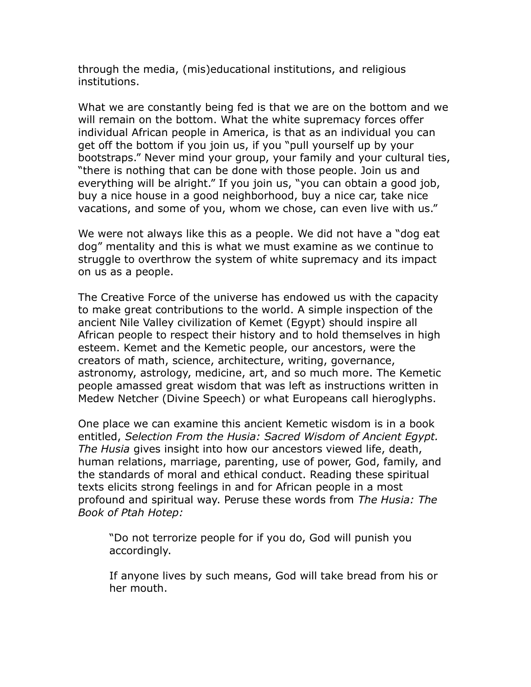through the media, (mis)educational institutions, and religious institutions.

What we are constantly being fed is that we are on the bottom and we will remain on the bottom. What the white supremacy forces offer individual African people in America, is that as an individual you can get off the bottom if you join us, if you "pull yourself up by your bootstraps." Never mind your group, your family and your cultural ties, "there is nothing that can be done with those people. Join us and everything will be alright." If you join us, "you can obtain a good job, buy a nice house in a good neighborhood, buy a nice car, take nice vacations, and some of you, whom we chose, can even live with us."

We were not always like this as a people. We did not have a "dog eat dog" mentality and this is what we must examine as we continue to struggle to overthrow the system of white supremacy and its impact on us as a people.

The Creative Force of the universe has endowed us with the capacity to make great contributions to the world. A simple inspection of the ancient Nile Valley civilization of Kemet (Egypt) should inspire all African people to respect their history and to hold themselves in high esteem. Kemet and the Kemetic people, our ancestors, were the creators of math, science, architecture, writing, governance, astronomy, astrology, medicine, art, and so much more. The Kemetic people amassed great wisdom that was left as instructions written in Medew Netcher (Divine Speech) or what Europeans call hieroglyphs.

One place we can examine this ancient Kemetic wisdom is in a book entitled, *Selection From the Husia: Sacred Wisdom of Ancient Egypt. The Husia* gives insight into how our ancestors viewed life, death, human relations, marriage, parenting, use of power, God, family, and the standards of moral and ethical conduct. Reading these spiritual texts elicits strong feelings in and for African people in a most profound and spiritual way. Peruse these words from *The Husia: The Book of Ptah Hotep:*

"Do not terrorize people for if you do, God will punish you accordingly.

If anyone lives by such means, God will take bread from his or her mouth.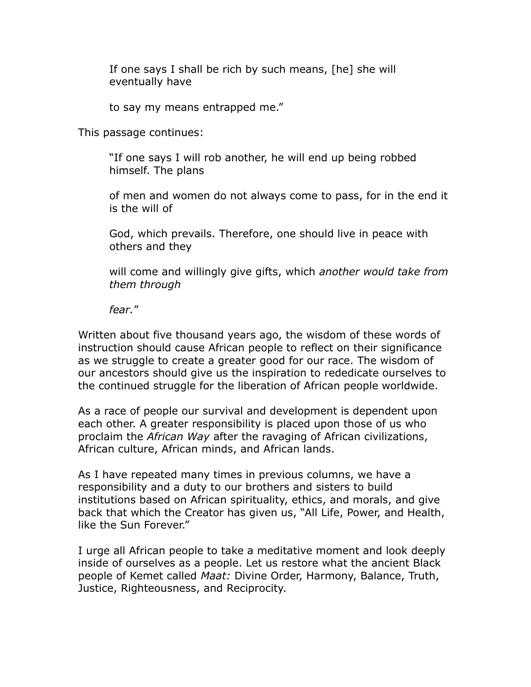If one says I shall be rich by such means, [he] she will eventually have

to say my means entrapped me."

This passage continues:

"If one says I will rob another, he will end up being robbed himself. The plans

of men and women do not always come to pass, for in the end it is the will of

God, which prevails. Therefore, one should live in peace with others and they

will come and willingly give gifts, which *another would take from them through*

*fear.*"

Written about five thousand years ago, the wisdom of these words of instruction should cause African people to reflect on their significance as we struggle to create a greater good for our race. The wisdom of our ancestors should give us the inspiration to rededicate ourselves to the continued struggle for the liberation of African people worldwide.

As a race of people our survival and development is dependent upon each other. A greater responsibility is placed upon those of us who proclaim the *African Way* after the ravaging of African civilizations, African culture, African minds, and African lands.

As I have repeated many times in previous columns, we have a responsibility and a duty to our brothers and sisters to build institutions based on African spirituality, ethics, and morals, and give back that which the Creator has given us, "All Life, Power, and Health, like the Sun Forever."

I urge all African people to take a meditative moment and look deeply inside of ourselves as a people. Let us restore what the ancient Black people of Kemet called *Maat:* Divine Order, Harmony, Balance, Truth, Justice, Righteousness, and Reciprocity.